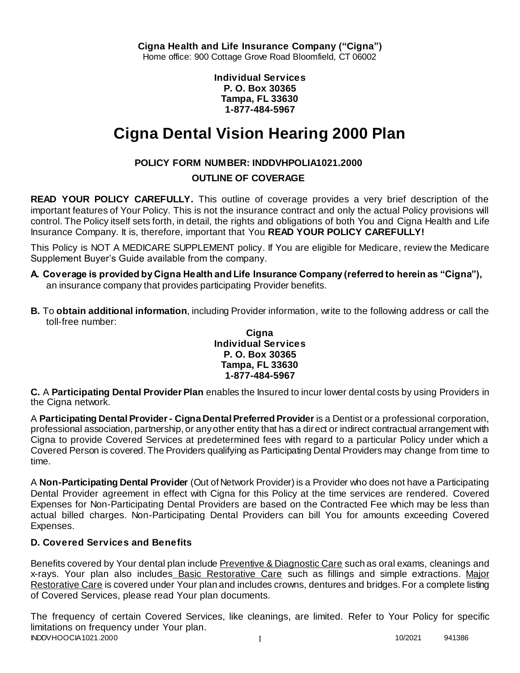**Individual Services P. O. Box 30365 Tampa, FL 33630 1-877-484-5967**

# **Cigna Dental Vision Hearing 2000 Plan**

# **POLICY FORM NUMBER: INDDVHPOLIA1021.2000**

# **OUTLINE OF COVERAGE**

**READ YOUR POLICY CAREFULLY.** This outline of coverage provides a very brief description of the important features of Your Policy. This is not the insurance contract and only the actual Policy provisions will control. The Policy itself sets forth, in detail, the rights and obligations of both You and Cigna Health and Life Insurance Company. It is, therefore, important that You **READ YOUR POLICY CAREFULLY!** 

This Policy is NOT A MEDICARE SUPPLEMENT policy. If You are eligible for Medicare, review the Medicare Supplement Buyer's Guide available from the company.

- **A. Coverage is provided by Cigna Health and Life Insurance Company (referred to herein as "Cigna"),**  an insurance company that provides participating Provider benefits.
- **B.** To **obtain additional information**, including Provider information, write to the following address or call the toll-free number:

### **Cigna Individual Services P. O. Box 30365 Tampa, FL 33630 1-877-484-5967**

**C.** A **Participating Dental Provider Plan** enables the Insured to incur lower dental costs by using Providers in the Cigna network.

A **Participating Dental Provider - Cigna Dental Preferred Provider** is a Dentist or a professional corporation, professional association, partnership, or any other entity that has a direct or indirect contractual arrangement with Cigna to provide Covered Services at predetermined fees with regard to a particular Policy under which a Covered Person is covered. The Providers qualifying as Participating Dental Providers may change from time to time.

A **Non-Participating Dental Provider** (Out of Network Provider) is a Provider who does not have a Participating Dental Provider agreement in effect with Cigna for this Policy at the time services are rendered. Covered Expenses for Non-Participating Dental Providers are based on the Contracted Fee which may be less than actual billed charges. Non-Participating Dental Providers can bill You for amounts exceeding Covered Expenses.

# **D. Covered Services and Benefits**

Benefits covered by Your dental plan include Preventive & Diagnostic Care such as oral exams, cleanings and x-rays. Your plan also includes Basic Restorative Care such as fillings and simple extractions. Major Restorative Care is covered under Your plan and includes crowns, dentures and bridges. For a complete listing of Covered Services, please read Your plan documents.

INDDVHOOCIA1021.2000 1 10/2021 941386 The frequency of certain Covered Services, like cleanings, are limited. Refer to Your Policy for specific limitations on frequency under Your plan.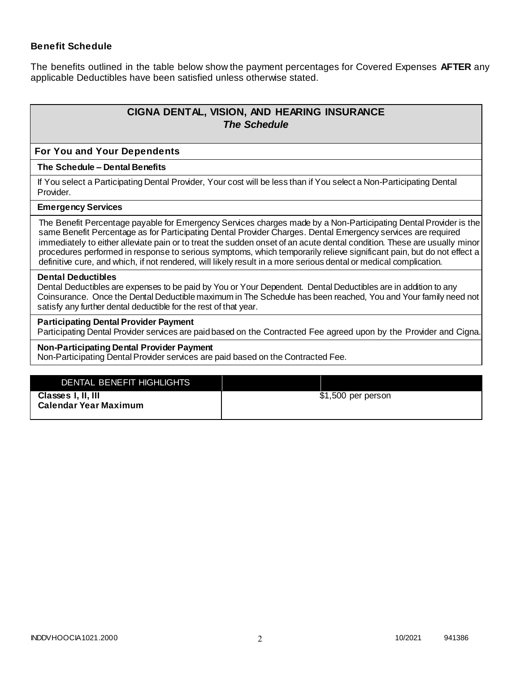### **Benefit Schedule**

The benefits outlined in the table below show the payment percentages for Covered Expenses **AFTER** any applicable Deductibles have been satisfied unless otherwise stated.

# **CIGNA DENTAL, VISION, AND HEARING INSURANCE** *The Schedule*

#### **For You and Your Dependents**

#### **The Schedule – Dental Benefits**

If You select a Participating Dental Provider, Your cost will be less than if You select a Non-Participating Dental Provider.

#### **Emergency Services**

The Benefit Percentage payable for Emergency Services charges made by a Non-Participating Dental Provider is the same Benefit Percentage as for Participating Dental Provider Charges. Dental Emergency services are required immediately to either alleviate pain or to treat the sudden onset of an acute dental condition. These are usually minor procedures performed in response to serious symptoms, which temporarily relieve significant pain, but do not effect a definitive cure, and which, if not rendered, will likely result in a more serious dental or medical complication.

#### **Dental Deductibles**

Dental Deductibles are expenses to be paid by You or Your Dependent. Dental Deductibles are in addition to any Coinsurance. Once the Dental Deductible maximum in The Schedule has been reached, You and Your family need not satisfy any further dental deductible for the rest of that year.

#### **Participating Dental Provider Payment**

Participating Dental Provider services are paid based on the Contracted Fee agreed upon by the Provider and Cigna.

#### **Non-Participating Dental Provider Payment**

Non-Participating Dental Provider services are paid based on the Contracted Fee.

| DENTAL BENEFIT HIGHLIGHTS    |                    |
|------------------------------|--------------------|
| Classes I, II, III           | \$1,500 per person |
| <b>Calendar Year Maximum</b> |                    |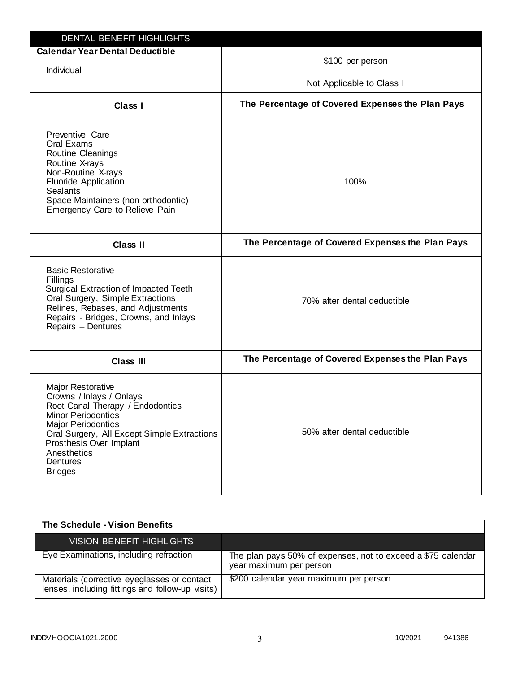| <b>DENTAL BENEFIT HIGHLIGHTS</b>                                                                                                                                                                                                                                          |                                                  |
|---------------------------------------------------------------------------------------------------------------------------------------------------------------------------------------------------------------------------------------------------------------------------|--------------------------------------------------|
| <b>Calendar Year Dental Deductible</b><br>Individual                                                                                                                                                                                                                      | \$100 per person                                 |
|                                                                                                                                                                                                                                                                           | Not Applicable to Class I                        |
| Class I                                                                                                                                                                                                                                                                   | The Percentage of Covered Expenses the Plan Pays |
| Preventive Care<br>Oral Exams<br>Routine Cleanings<br>Routine X-rays<br>Non-Routine X-rays<br><b>Fluoride Application</b><br><b>Sealants</b><br>Space Maintainers (non-orthodontic)<br>Emergency Care to Relieve Pain                                                     | 100%                                             |
| <b>Class II</b>                                                                                                                                                                                                                                                           | The Percentage of Covered Expenses the Plan Pays |
| <b>Basic Restorative</b><br>Fillings<br>Surgical Extraction of Impacted Teeth<br>Oral Surgery, Simple Extractions<br>Relines, Rebases, and Adjustments<br>Repairs - Bridges, Crowns, and Inlays<br>Repairs - Dentures                                                     | 70% after dental deductible                      |
| Class III                                                                                                                                                                                                                                                                 | The Percentage of Covered Expenses the Plan Pays |
| <b>Major Restorative</b><br>Crowns / Inlays / Onlays<br>Root Canal Therapy / Endodontics<br><b>Minor Periodontics</b><br><b>Major Periodontics</b><br>Oral Surgery, All Except Simple Extractions<br>Prosthesis Over Implant<br>Anesthetics<br>Dentures<br><b>Bridges</b> | 50% after dental deductible                      |

| The Schedule - Vision Benefits                                                                  |                                                                                         |
|-------------------------------------------------------------------------------------------------|-----------------------------------------------------------------------------------------|
| <b>VISION BENEFIT HIGHLIGHTS</b>                                                                |                                                                                         |
| Eye Examinations, including refraction                                                          | The plan pays 50% of expenses, not to exceed a \$75 calendar<br>year maximum per person |
| Materials (corrective eyeglasses or contact<br>lenses, including fittings and follow-up visits) | \$200 calendar year maximum per person                                                  |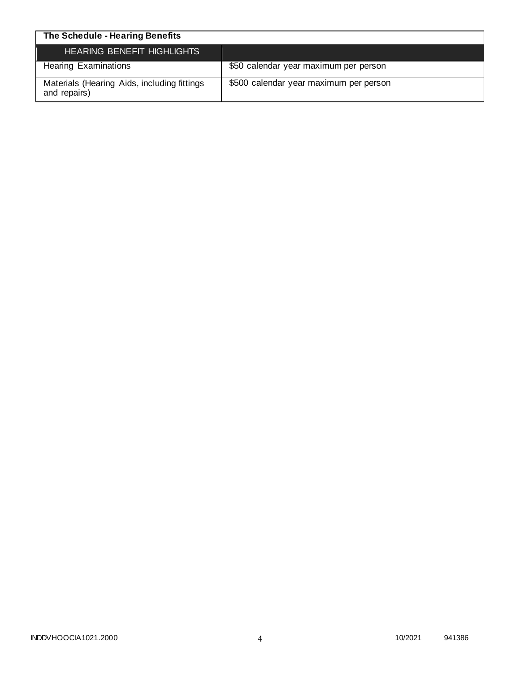| The Schedule - Hearing Benefits                             |                                        |
|-------------------------------------------------------------|----------------------------------------|
| <b>HEARING BENEFIT HIGHLIGHTS</b>                           |                                        |
| <b>Hearing Examinations</b>                                 | \$50 calendar year maximum per person  |
| Materials (Hearing Aids, including fittings<br>and repairs) | \$500 calendar year maximum per person |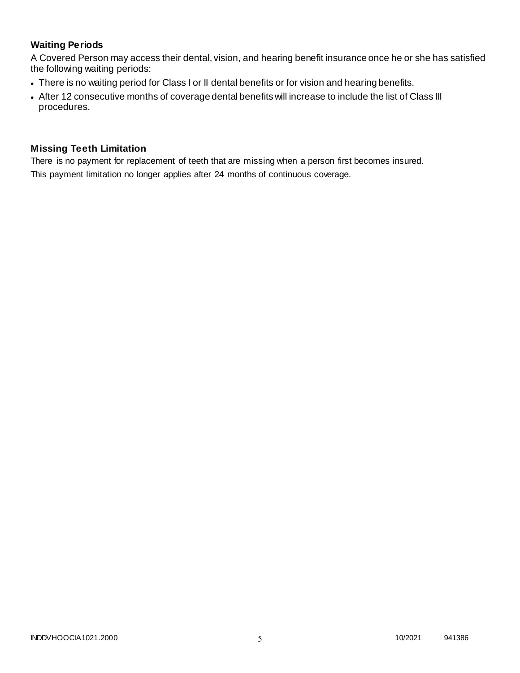# **Waiting Periods**

A Covered Person may access their dental, vision, and hearing benefit insurance once he or she has satisfied the following waiting periods:

- There is no waiting period for Class I or II dental benefits or for vision and hearing benefits.
- After 12 consecutive months of coverage dental benefits will increase to include the list of Class III procedures.

### **Missing Teeth Limitation**

There is no payment for replacement of teeth that are missing when a person first becomes insured. This payment limitation no longer applies after 24 months of continuous coverage.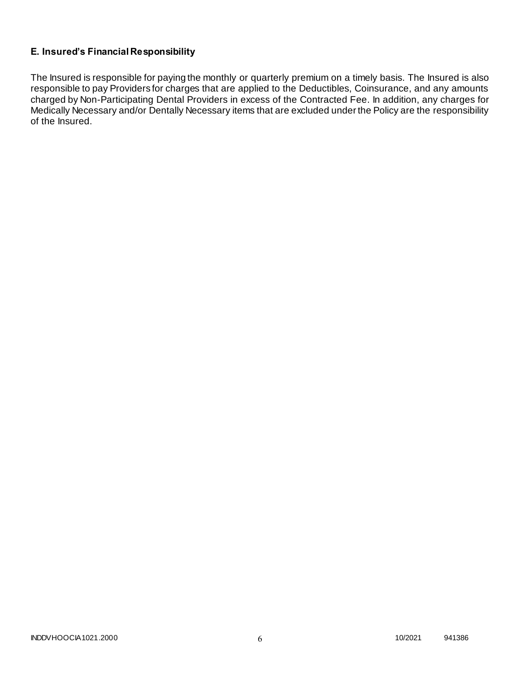# **E. Insured's Financial Responsibility**

The Insured is responsible for paying the monthly or quarterly premium on a timely basis. The Insured is also responsible to pay Providers for charges that are applied to the Deductibles, Coinsurance, and any amounts charged by Non-Participating Dental Providers in excess of the Contracted Fee. In addition, any charges for Medically Necessary and/or Dentally Necessary items that are excluded under the Policy are the responsibility of the Insured.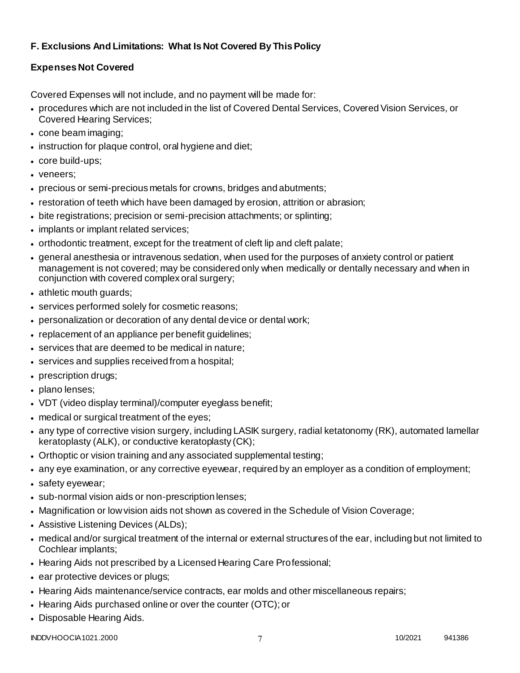# **F. Exclusions And Limitations: What Is Not Covered By This Policy**

# **Expenses Not Covered**

Covered Expenses will not include, and no payment will be made for:

- procedures which are not included in the list of Covered Dental Services, Covered Vision Services, or Covered Hearing Services;
- cone beam imaging;
- instruction for plaque control, oral hygiene and diet;
- core build-ups;
- veneers;
- precious or semi-precious metals for crowns, bridges and abutments;
- restoration of teeth which have been damaged by erosion, attrition or abrasion;
- bite registrations; precision or semi-precision attachments; or splinting;
- implants or implant related services;
- orthodontic treatment, except for the treatment of cleft lip and cleft palate;
- general anesthesia or intravenous sedation, when used for the purposes of anxiety control or patient management is not covered; may be considered only when medically or dentally necessary and when in conjunction with covered complex oral surgery;
- athletic mouth guards;
- services performed solely for cosmetic reasons;
- personalization or decoration of any dental device or dental work;
- replacement of an appliance per benefit guidelines;
- services that are deemed to be medical in nature;
- services and supplies received from a hospital;
- prescription drugs;
- plano lenses:
- VDT (video display terminal)/computer eyeglass benefit;
- medical or surgical treatment of the eyes;
- any type of corrective vision surgery, including LASIK surgery, radial ketatonomy (RK), automated lamellar keratoplasty (ALK), or conductive keratoplasty (CK);
- Orthoptic or vision training and any associated supplemental testing;
- any eye examination, or any corrective eyewear, required by an employer as a condition of employment;
- safety eyewear;
- sub-normal vision aids or non-prescription lenses;
- Magnification or low vision aids not shown as covered in the Schedule of Vision Coverage;
- Assistive Listening Devices (ALDs);
- medical and/or surgical treatment of the internal or external structures of the ear, including but not limited to Cochlear implants;
- Hearing Aids not prescribed by a Licensed Hearing Care Professional;
- ear protective devices or plugs;
- Hearing Aids maintenance/service contracts, ear molds and other miscellaneous repairs;
- Hearing Aids purchased online or over the counter (OTC); or
- Disposable Hearing Aids.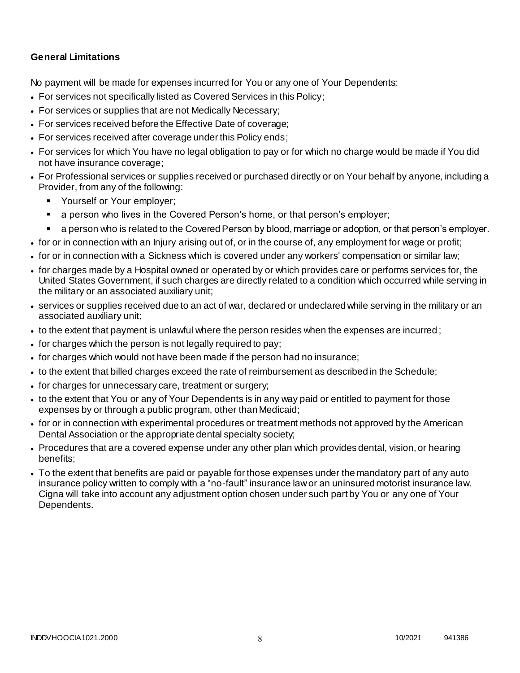## **General Limitations**

No payment will be made for expenses incurred for You or any one of Your Dependents:

- For services not specifically listed as Covered Services in this Policy;
- For services or supplies that are not Medically Necessary;
- For services received before the Effective Date of coverage;
- For services received after coverage under this Policy ends;
- For services for which You have no legal obligation to pay or for which no charge would be made if You did not have insurance coverage;
- For Professional services or supplies received or purchased directly or on Your behalf by anyone, including a Provider, from any of the following:
	- **Yourself or Your employer;**
	- a person who lives in the Covered Person's home, or that person's employer;
	- a person who is related to the Covered Person by blood, marriage or adoption, or that person's employer.
- for or in connection with an Injury arising out of, or in the course of, any employment for wage or profit;
- for or in connection with a Sickness which is covered under any workers' compensation or similar law;
- for charges made by a Hospital owned or operated by or which provides care or performs services for, the United States Government, if such charges are directly related to a condition which occurred while serving in the military or an associated auxiliary unit;
- services or supplies received due to an act of war, declared or undeclared while serving in the military or an associated auxiliary unit;
- to the extent that payment is unlawful where the person resides when the expenses are incurred ;
- for charges which the person is not legally required to pay;
- for charges which would not have been made if the person had no insurance;
- to the extent that billed charges exceed the rate of reimbursement as described in the Schedule;
- for charges for unnecessary care, treatment or surgery;
- to the extent that You or any of Your Dependents is in any way paid or entitled to payment for those expenses by or through a public program, other than Medicaid;
- for or in connection with experimental procedures or treatment methods not approved by the American Dental Association or the appropriate dental specialty society;
- Procedures that are a covered expense under any other plan which provides dental, vision, or hearing benefits;
- To the extent that benefits are paid or payable for those expenses under the mandatory part of any auto insurance policy written to comply with a "no-fault" insurance law or an uninsured motorist insurance law. Cigna will take into account any adjustment option chosen under such part by You or any one of Your Dependents.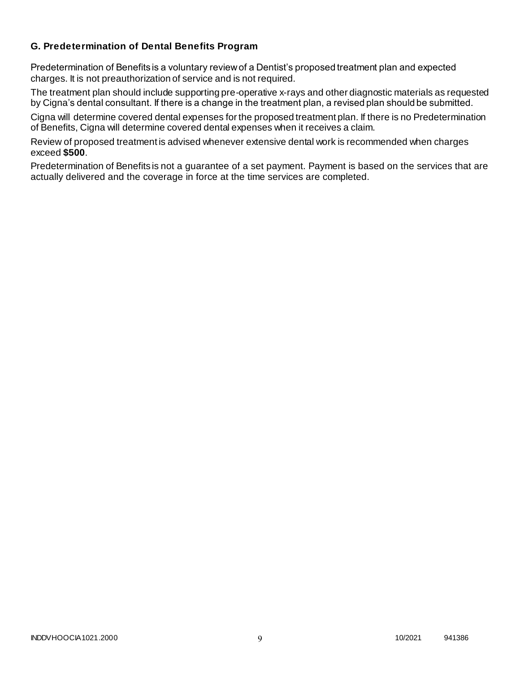### **G. Predetermination of Dental Benefits Program**

Predetermination of Benefits is a voluntary review of a Dentist's proposed treatment plan and expected charges. It is not preauthorization of service and is not required.

The treatment plan should include supporting pre-operative x-rays and other diagnostic materials as requested by Cigna's dental consultant. If there is a change in the treatment plan, a revised plan should be submitted.

Cigna will determine covered dental expenses for the proposed treatment plan. If there is no Predetermination of Benefits, Cigna will determine covered dental expenses when it receives a claim.

Review of proposed treatment is advised whenever extensive dental work is recommended when charges exceed **\$500**.

Predetermination of Benefits is not a guarantee of a set payment. Payment is based on the services that are actually delivered and the coverage in force at the time services are completed.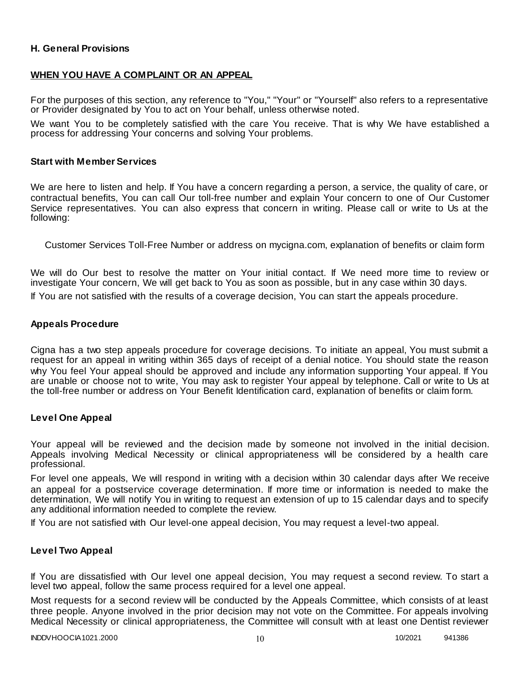### **H. General Provisions**

### **WHEN YOU HAVE A COMPLAINT OR AN APPEAL**

For the purposes of this section, any reference to "You," "Your" or "Yourself" also refers to a representative or Provider designated by You to act on Your behalf, unless otherwise noted.

We want You to be completely satisfied with the care You receive. That is why We have established a process for addressing Your concerns and solving Your problems.

#### **Start with Member Services**

We are here to listen and help. If You have a concern regarding a person, a service, the quality of care, or contractual benefits, You can call Our toll-free number and explain Your concern to one of Our Customer Service representatives. You can also express that concern in writing. Please call or write to Us at the following:

Customer Services Toll-Free Number or address on mycigna.com, explanation of benefits or claim form

We will do Our best to resolve the matter on Your initial contact. If We need more time to review or investigate Your concern, We will get back to You as soon as possible, but in any case within 30 days.

If You are not satisfied with the results of a coverage decision, You can start the appeals procedure.

#### **Appeals Procedure**

Cigna has a two step appeals procedure for coverage decisions. To initiate an appeal, You must submit a request for an appeal in writing within 365 days of receipt of a denial notice. You should state the reason why You feel Your appeal should be approved and include any information supporting Your appeal. If You are unable or choose not to write, You may ask to register Your appeal by telephone. Call or write to Us at the toll-free number or address on Your Benefit Identification card, explanation of benefits or claim form.

#### **Level One Appeal**

Your appeal will be reviewed and the decision made by someone not involved in the initial decision. Appeals involving Medical Necessity or clinical appropriateness will be considered by a health care professional.

For level one appeals, We will respond in writing with a decision within 30 calendar days after We receive an appeal for a postservice coverage determination. If more time or information is needed to make the determination, We will notify You in writing to request an extension of up to 15 calendar days and to specify any additional information needed to complete the review.

If You are not satisfied with Our level-one appeal decision, You may request a level-two appeal.

#### **Level Two Appeal**

If You are dissatisfied with Our level one appeal decision, You may request a second review. To start a level two appeal, follow the same process required for a level one appeal.

Most requests for a second review will be conducted by the Appeals Committee, which consists of at least three people. Anyone involved in the prior decision may not vote on the Committee. For appeals involving Medical Necessity or clinical appropriateness, the Committee will consult with at least one Dentist reviewer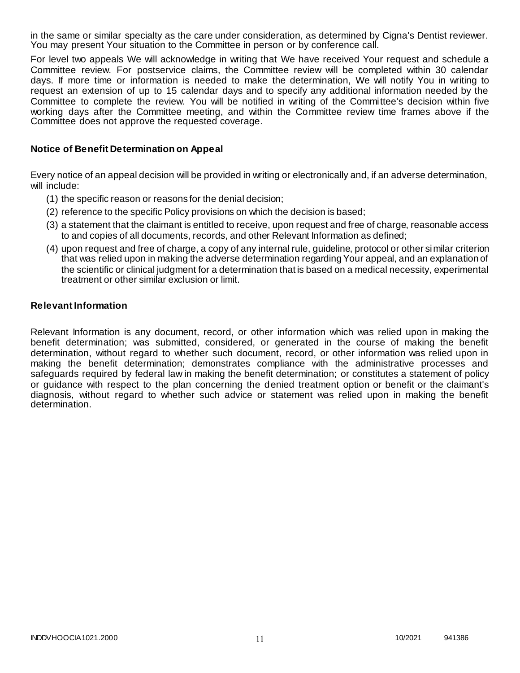in the same or similar specialty as the care under consideration, as determined by Cigna's Dentist reviewer. You may present Your situation to the Committee in person or by conference call.

For level two appeals We will acknowledge in writing that We have received Your request and schedule a Committee review. For postservice claims, the Committee review will be completed within 30 calendar days. If more time or information is needed to make the determination, We will notify You in writing to request an extension of up to 15 calendar days and to specify any additional information needed by the Committee to complete the review. You will be notified in writing of the Committee's decision within five working days after the Committee meeting, and within the Committee review time frames above if the Committee does not approve the requested coverage.

### **Notice of Benefit Determination on Appeal**

Every notice of an appeal decision will be provided in writing or electronically and, if an adverse determination, will include:

- (1) the specific reason or reasons for the denial decision;
- (2) reference to the specific Policy provisions on which the decision is based;
- (3) a statement that the claimant is entitled to receive, upon request and free of charge, reasonable access to and copies of all documents, records, and other Relevant Information as defined;
- (4) upon request and free of charge, a copy of any internal rule, guideline, protocol or other similar criterion that was relied upon in making the adverse determination regarding Your appeal, and an explanation of the scientific or clinical judgment for a determination that is based on a medical necessity, experimental treatment or other similar exclusion or limit.

### **Relevant Information**

Relevant Information is any document, record, or other information which was relied upon in making the benefit determination; was submitted, considered, or generated in the course of making the benefit determination, without regard to whether such document, record, or other information was relied upon in making the benefit determination; demonstrates compliance with the administrative processes and safeguards required by federal law in making the benefit determination; or constitutes a statement of policy or guidance with respect to the plan concerning the denied treatment option or benefit or the claimant's diagnosis, without regard to whether such advice or statement was relied upon in making the benefit determination.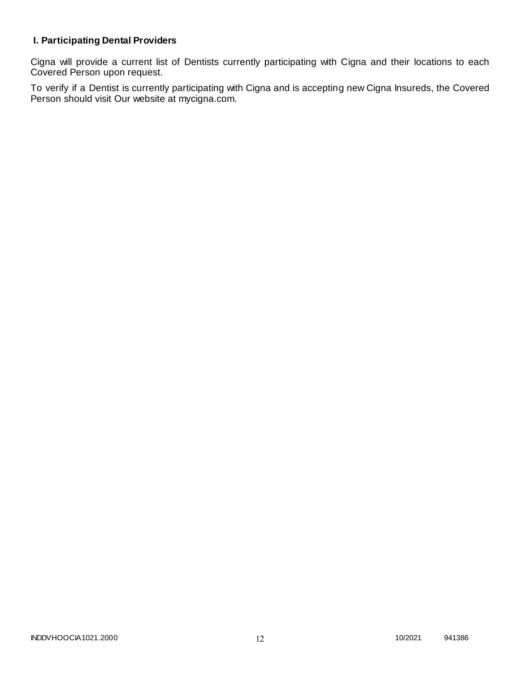# **I. Participating Dental Providers**

Cigna will provide a current list of Dentists currently participating with Cigna and their locations to each Covered Person upon request.

To verify if a Dentist is currently participating with Cigna and is accepting new Cigna Insureds, the Covered Person should visit Our website at mycigna.com.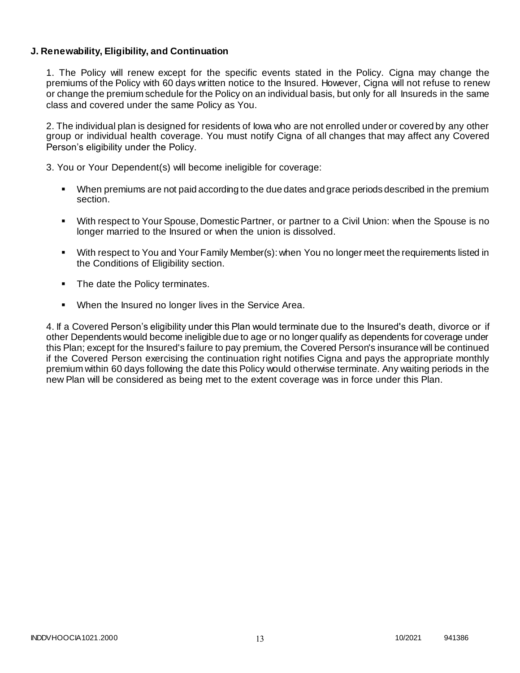### **J. Renewability, Eligibility, and Continuation**

1. The Policy will renew except for the specific events stated in the Policy. Cigna may change the premiums of the Policy with 60 days written notice to the Insured. However, Cigna will not refuse to renew or change the premium schedule for the Policy on an individual basis, but only for all Insureds in the same class and covered under the same Policy as You.

2. The individual plan is designed for residents of Iowa who are not enrolled under or covered by any other group or individual health coverage. You must notify Cigna of all changes that may affect any Covered Person's eligibility under the Policy.

3. You or Your Dependent(s) will become ineligible for coverage:

- When premiums are not paid according to the due dates and grace periods described in the premium section.
- With respect to Your Spouse, Domestic Partner, or partner to a Civil Union: when the Spouse is no longer married to the Insured or when the union is dissolved.
- With respect to You and Your Family Member(s): when You no longer meet the requirements listed in the Conditions of Eligibility section.
- The date the Policy terminates.
- When the Insured no longer lives in the Service Area.

4. If a Covered Person's eligibility under this Plan would terminate due to the Insured's death, divorce or if other Dependents would become ineligible due to age or no longer qualify as dependents for coverage under this Plan; except for the Insured's failure to pay premium, the Covered Person's insurance will be continued if the Covered Person exercising the continuation right notifies Cigna and pays the appropriate monthly premium within 60 days following the date this Policy would otherwise terminate. Any waiting periods in the new Plan will be considered as being met to the extent coverage was in force under this Plan.